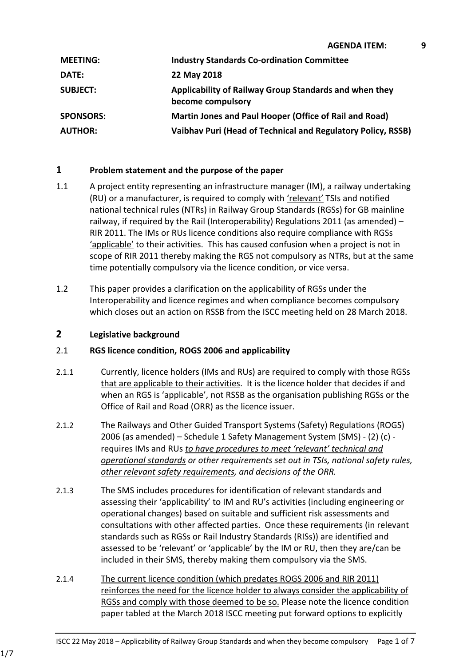| <b>MEETING:</b>  | <b>Industry Standards Co-ordination Committee</b>                           |
|------------------|-----------------------------------------------------------------------------|
| <b>DATE:</b>     | 22 May 2018                                                                 |
| <b>SUBJECT:</b>  | Applicability of Railway Group Standards and when they<br>become compulsory |
| <b>SPONSORS:</b> | Martin Jones and Paul Hooper (Office of Rail and Road)                      |
| <b>AUTHOR:</b>   | Vaibhav Puri (Head of Technical and Regulatory Policy, RSSB)                |

# **1 Problem statement and the purpose of the paper**

- 1.1 A project entity representing an infrastructure manager (IM), a railway undertaking (RU) or a manufacturer, is required to comply with 'relevant' TSIs and notified national technical rules (NTRs) in Railway Group Standards (RGSs) for GB mainline railway, if required by the Rail (Interoperability) Regulations 2011 (as amended) – RIR 2011. The IMs or RUs licence conditions also require compliance with RGSs 'applicable' to their activities. This has caused confusion when a project is not in scope of RIR 2011 thereby making the RGS not compulsory as NTRs, but at the same time potentially compulsory via the licence condition, or vice versa.
- 1.2 This paper provides a clarification on the applicability of RGSs under the Interoperability and licence regimes and when compliance becomes compulsory which closes out an action on RSSB from the ISCC meeting held on 28 March 2018.

#### **2 Legislative background**

### 2.1 **RGS licence condition, ROGS 2006 and applicability**

- 2.1.1 Currently, licence holders (IMs and RUs) are required to comply with those RGSs that are applicable to their activities. It is the licence holder that decides if and when an RGS is 'applicable', not RSSB as the organisation publishing RGSs or the Office of Rail and Road (ORR) as the licence issuer.
- 2.1.2 The Railways and Other Guided Transport Systems (Safety) Regulations (ROGS) 2006 (as amended) – Schedule 1 Safety Management System (SMS) - (2) (c) requires IMs and RUs *to have procedures to meet 'relevant' technical and operational standards or other requirements set out in TSIs, national safety rules, other relevant safety requirements, and decisions of the ORR.*
- 2.1.3 The SMS includes procedures for identification of relevant standards and assessing their 'applicability' to IM and RU's activities (including engineering or operational changes) based on suitable and sufficient risk assessments and consultations with other affected parties. Once these requirements (in relevant standards such as RGSs or Rail Industry Standards (RISs)) are identified and assessed to be 'relevant' or 'applicable' by the IM or RU, then they are/can be included in their SMS, thereby making them compulsory via the SMS.
- 2.1.4 The current licence condition (which predates ROGS 2006 and RIR 2011) reinforces the need for the licence holder to always consider the applicability of RGSs and comply with those deemed to be so. Please note the licence condition paper tabled at the March 2018 ISCC meeting put forward options to explicitly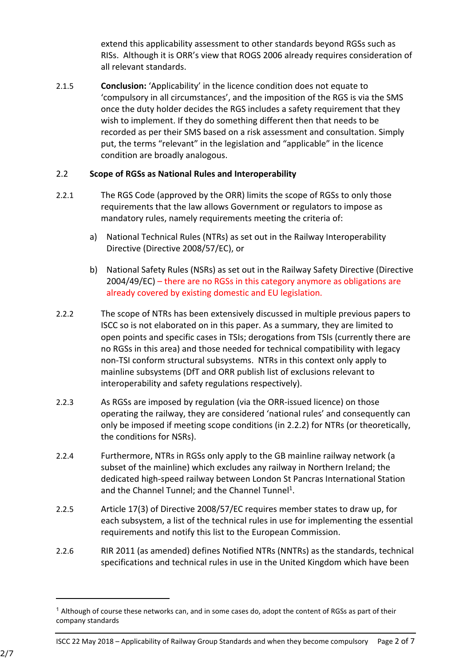extend this applicability assessment to other standards beyond RGSs such as RISs. Although it is ORR's view that ROGS 2006 already requires consideration of all relevant standards.

2.1.5 **Conclusion:** 'Applicability' in the licence condition does not equate to 'compulsory in all circumstances', and the imposition of the RGS is via the SMS once the duty holder decides the RGS includes a safety requirement that they wish to implement. If they do something different then that needs to be recorded as per their SMS based on a risk assessment and consultation. Simply put, the terms "relevant" in the legislation and "applicable" in the licence condition are broadly analogous.

### 2.2 **Scope of RGSs as National Rules and Interoperability**

- 2.2.1 The RGS Code (approved by the ORR) limits the scope of RGSs to only those requirements that the law allows Government or regulators to impose as mandatory rules, namely requirements meeting the criteria of:
	- a) National Technical Rules (NTRs) as set out in the Railway Interoperability Directive (Directive 2008/57/EC), or
	- b) National Safety Rules (NSRs) as set out in the Railway Safety Directive (Directive 2004/49/EC) – there are no RGSs in this category anymore as obligations are already covered by existing domestic and EU legislation.
- 2.2.2 The scope of NTRs has been extensively discussed in multiple previous papers to ISCC so is not elaborated on in this paper. As a summary, they are limited to open points and specific cases in TSIs; derogations from TSIs (currently there are no RGSs in this area) and those needed for technical compatibility with legacy non-TSI conform structural subsystems. NTRs in this context only apply to mainline subsystems (DfT and ORR publish list of exclusions relevant to interoperability and safety regulations respectively).
- 2.2.3 As RGSs are imposed by regulation (via the ORR-issued licence) on those operating the railway, they are considered 'national rules' and consequently can only be imposed if meeting scope conditions (in 2.2.2) for NTRs (or theoretically, the conditions for NSRs).
- 2.2.4 Furthermore, NTRs in RGSs only apply to the GB mainline railway network (a subset of the mainline) which excludes any railway in Northern Ireland; the dedicated high-speed railway between London St Pancras International Station and the Channel Tunnel; and the Channel Tunnel<sup>1</sup>.
- 2.2.5 Article 17(3) of Directive 2008/57/EC requires member states to draw up, for each subsystem, a list of the technical rules in use for implementing the essential requirements and notify this list to the European Commission.
- 2.2.6 RIR 2011 (as amended) defines Notified NTRs (NNTRs) as the standards, technical specifications and technical rules in use in the United Kingdom which have been

<sup>&</sup>lt;sup>1</sup> Although of course these networks can, and in some cases do, adopt the content of RGSs as part of their company standards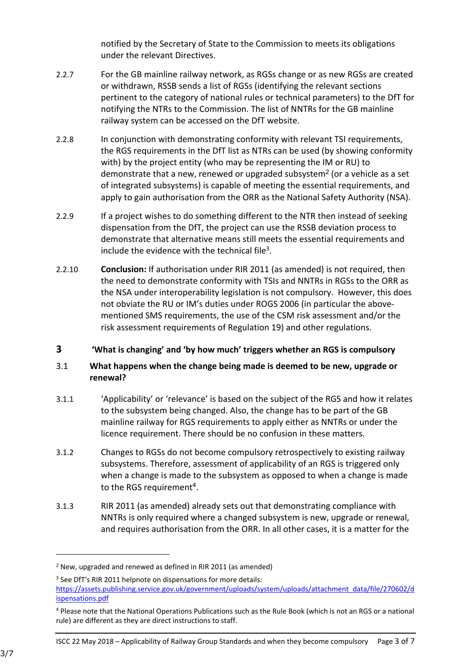notified by the Secretary of State to the Commission to meets its obligations under the relevant Directives.

- 2.2.7 For the GB mainline railway network, as RGSs change or as new RGSs are created or withdrawn, RSSB sends a list of RGSs (identifying the relevant sections pertinent to the category of national rules or technical parameters) to the DfT for notifying the NTRs to the Commission. The list of NNTRs for the GB mainline railway system can be accessed on the DfT website.
- 2.2.8 In conjunction with demonstrating conformity with relevant TSI requirements, the RGS requirements in the DfT list as NTRs can be used (by showing conformity with) by the project entity (who may be representing the IM or RU) to demonstrate that a new, renewed or upgraded subsystem<sup>2</sup> (or a vehicle as a set of integrated subsystems) is capable of meeting the essential requirements, and apply to gain authorisation from the ORR as the National Safety Authority (NSA).
- 2.2.9 If a project wishes to do something different to the NTR then instead of seeking dispensation from the DfT, the project can use the RSSB deviation process to demonstrate that alternative means still meets the essential requirements and include the evidence with the technical file<sup>3</sup>.
- 2.2.10 **Conclusion:** If authorisation under RIR 2011 (as amended) is not required, then the need to demonstrate conformity with TSIs and NNTRs in RGSs to the ORR as the NSA under interoperability legislation is not compulsory. However, this does not obviate the RU or IM's duties under ROGS 2006 (in particular the abovementioned SMS requirements, the use of the CSM risk assessment and/or the risk assessment requirements of Regulation 19) and other regulations.

# **3 'What is changing' and 'by how much' triggers whether an RGS is compulsory**

# 3.1 **What happens when the change being made is deemed to be new, upgrade or renewal?**

- 3.1.1 'Applicability' or 'relevance' is based on the subject of the RGS and how it relates to the subsystem being changed. Also, the change has to be part of the GB mainline railway for RGS requirements to apply either as NNTRs or under the licence requirement. There should be no confusion in these matters.
- 3.1.2 Changes to RGSs do not become compulsory retrospectively to existing railway subsystems. Therefore, assessment of applicability of an RGS is triggered only when a change is made to the subsystem as opposed to when a change is made to the RGS requirement<sup>4</sup>.
- 3.1.3 RIR 2011 (as amended) already sets out that demonstrating compliance with NNTRs is only required where a changed subsystem is new, upgrade or renewal, and requires authorisation from the ORR. In all other cases, it is a matter for the

<sup>2</sup> New, upgraded and renewed as defined in RIR 2011 (as amended)

<sup>&</sup>lt;sup>3</sup> See DfT's RIR 2011 helpnote on dispensations for more details: [https://assets.publishing.service.gov.uk/government/uploads/system/uploads/attachment\\_data/file/270602/d](https://assets.publishing.service.gov.uk/government/uploads/system/uploads/attachment_data/file/270602/dispensations.pdf) [ispensations.pdf](https://assets.publishing.service.gov.uk/government/uploads/system/uploads/attachment_data/file/270602/dispensations.pdf)

<sup>4</sup> Please note that the National Operations Publications such as the Rule Book (which is not an RGS or a national rule) are different as they are direct instructions to staff.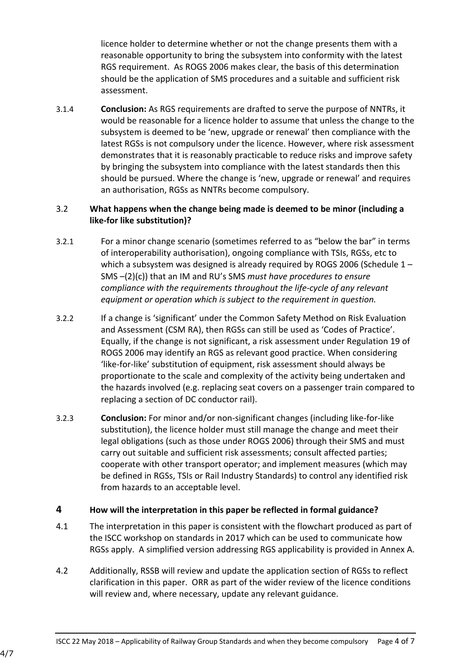licence holder to determine whether or not the change presents them with a reasonable opportunity to bring the subsystem into conformity with the latest RGS requirement. As ROGS 2006 makes clear, the basis of this determination should be the application of SMS procedures and a suitable and sufficient risk assessment.

3.1.4 **Conclusion:** As RGS requirements are drafted to serve the purpose of NNTRs, it would be reasonable for a licence holder to assume that unless the change to the subsystem is deemed to be 'new, upgrade or renewal' then compliance with the latest RGSs is not compulsory under the licence. However, where risk assessment demonstrates that it is reasonably practicable to reduce risks and improve safety by bringing the subsystem into compliance with the latest standards then this should be pursued. Where the change is 'new, upgrade or renewal' and requires an authorisation, RGSs as NNTRs become compulsory.

# 3.2 **What happens when the change being made is deemed to be minor (including a like-for like substitution)?**

- 3.2.1 For a minor change scenario (sometimes referred to as "below the bar" in terms of interoperability authorisation), ongoing compliance with TSIs, RGSs, etc to which a subsystem was designed is already required by ROGS 2006 (Schedule 1 – SMS –(2)(c)) that an IM and RU's SMS *must have procedures to ensure compliance with the requirements throughout the life-cycle of any relevant equipment or operation which is subject to the requirement in question.*
- 3.2.2 If a change is 'significant' under the Common Safety Method on Risk Evaluation and Assessment (CSM RA), then RGSs can still be used as 'Codes of Practice'. Equally, if the change is not significant, a risk assessment under Regulation 19 of ROGS 2006 may identify an RGS as relevant good practice. When considering 'like-for-like' substitution of equipment, risk assessment should always be proportionate to the scale and complexity of the activity being undertaken and the hazards involved (e.g. replacing seat covers on a passenger train compared to replacing a section of DC conductor rail).
- 3.2.3 **Conclusion:** For minor and/or non-significant changes (including like-for-like substitution), the licence holder must still manage the change and meet their legal obligations (such as those under ROGS 2006) through their SMS and must carry out suitable and sufficient risk assessments; consult affected parties; cooperate with other transport operator; and implement measures (which may be defined in RGSs, TSIs or Rail Industry Standards) to control any identified risk from hazards to an acceptable level.

### **4 How will the interpretation in this paper be reflected in formal guidance?**

- 4.1 The interpretation in this paper is consistent with the flowchart produced as part of the ISCC workshop on standards in 2017 which can be used to communicate how RGSs apply. A simplified version addressing RGS applicability is provided in Annex A.
- 4.2 Additionally, RSSB will review and update the application section of RGSs to reflect clarification in this paper. ORR as part of the wider review of the licence conditions will review and, where necessary, update any relevant guidance.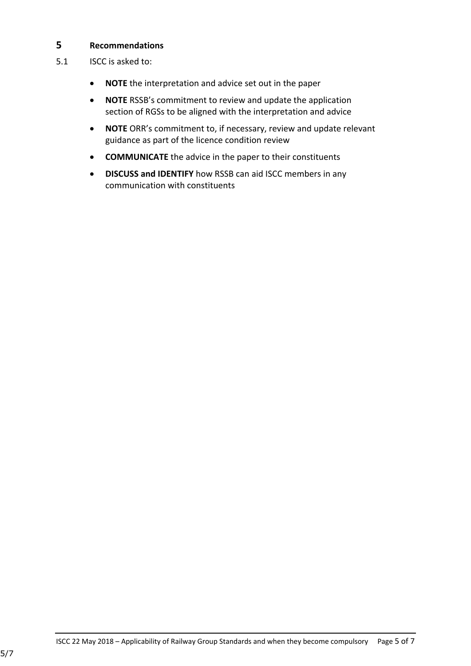### **5 Recommendations**

- 5.1 ISCC is asked to:
	- **NOTE** the interpretation and advice set out in the paper
	- **NOTE** RSSB's commitment to review and update the application section of RGSs to be aligned with the interpretation and advice
	- **NOTE** ORR's commitment to, if necessary, review and update relevant guidance as part of the licence condition review
	- **COMMUNICATE** the advice in the paper to their constituents
	- **DISCUSS and IDENTIFY** how RSSB can aid ISCC members in any communication with constituents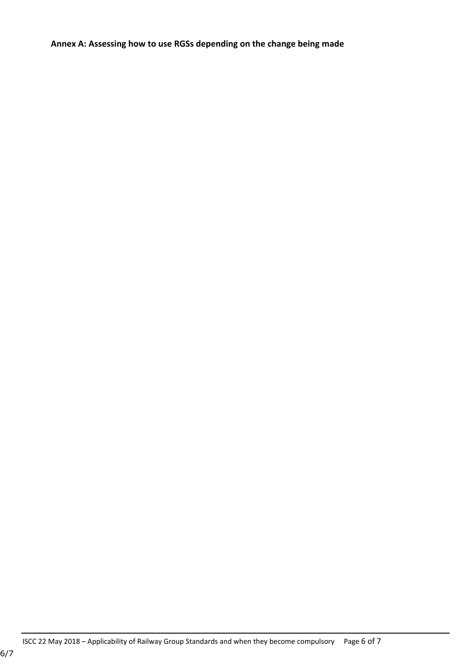**Annex A: Assessing how to use RGSs depending on the change being made**